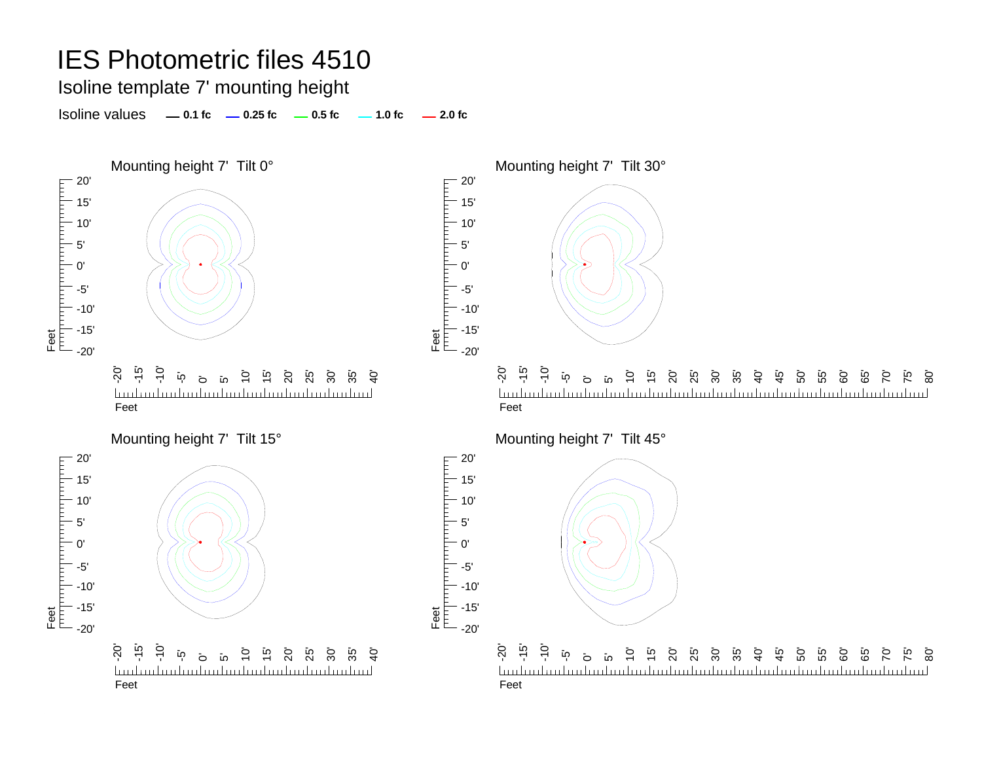# IES Photometric files 4510

Isoline template 7' mounting height

Isoline values **0.1 fc 0.25 fc 0.5 fc 2.0 fc 1.0 fc**

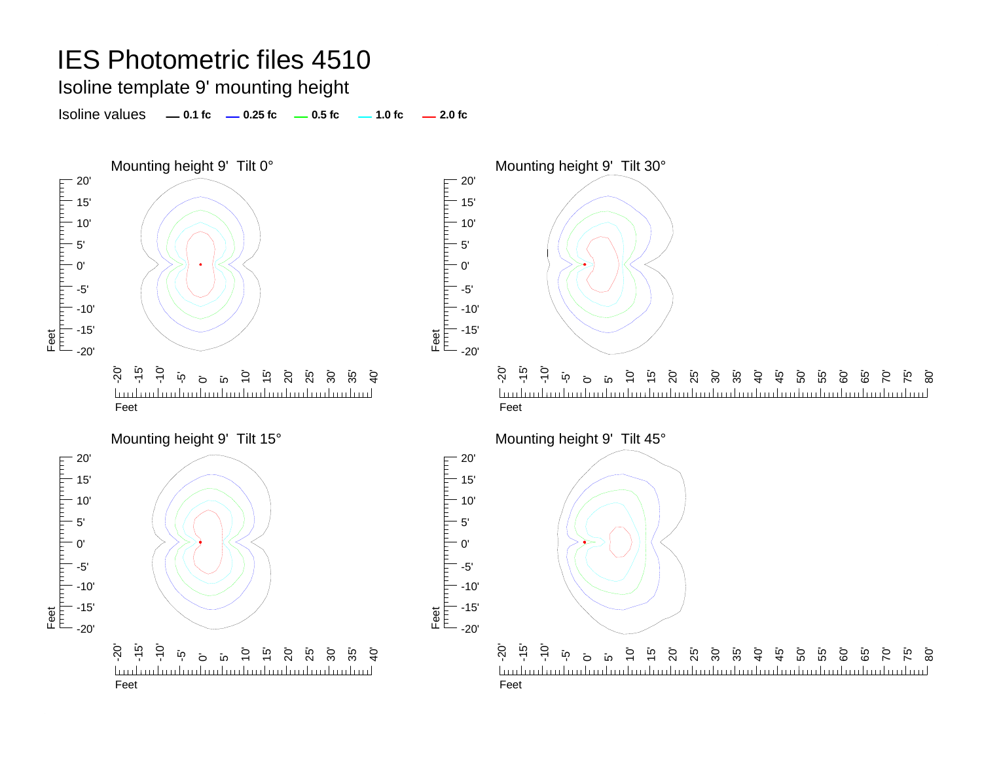# IES Photometric files 4510

Isoline template 9' mounting height

Isoline values **0.1 fc 0.25 fc 0.5 fc 2.0 fc 1.0 fc**

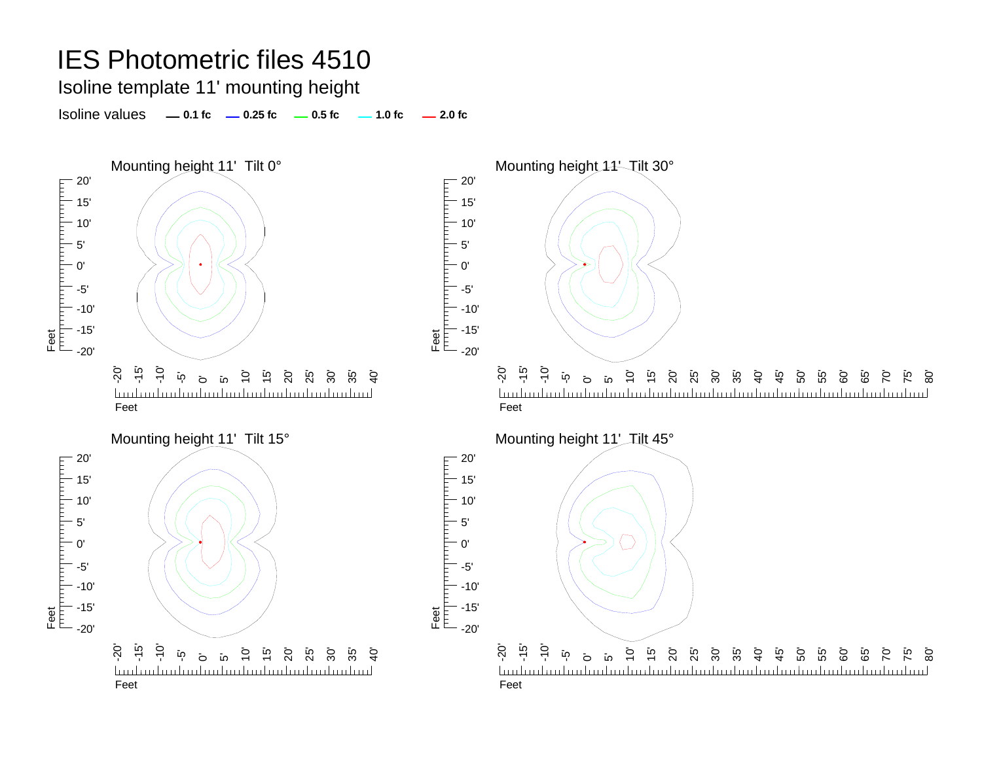## IES Photometric files 4510

Isoline template 11' mounting height

Isoline values **0.1 fc 0.25 fc 0.5 fc 2.0 fc 1.0 fc**

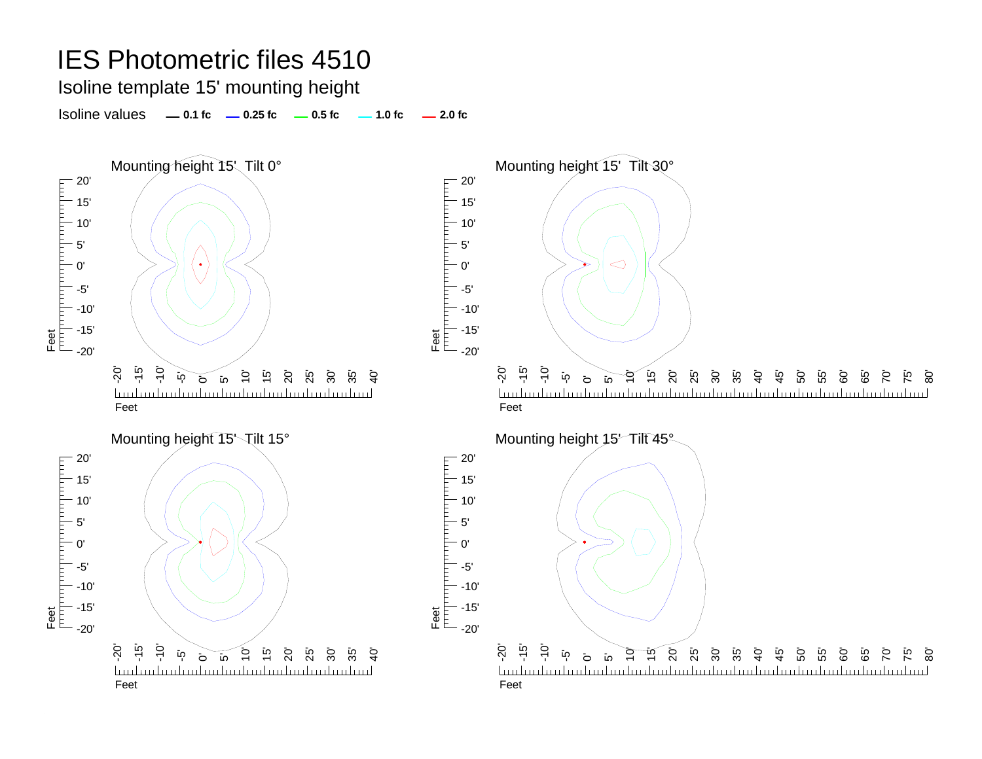## IES Photometric files 4510 Isoline template 15' mounting height Isoline values **0.1 fc 0.25 fc 0.5 fc 2.0 fc 1.0 fc** Mounting height 15' Tilt 0° and the mounting height 15' Tilt 30° 20' 20' Feet <u>THE PERSON</u> 15' 15' 10' 10' 5' 5'  $\triangleleft$ 0' 0' Feet<br>|<sup>|||||</sup>|<sup>|||||</sup>||<sup>|||||</sup>| -5'-5' -10' -10' -15' -15' -20' $-20'$ -20' -15' -10' -20' -15' -10' 10' 15' 20' -5' 15' .<br>35 25°. 30' 35'  $\dot{a}$  $\delta$ ន<br>ន ន ន  $\mathsf{G}$ 45' 50' 55' 60' ة<br>65 75' 80'  $\overline{10}$  $\mathbf{\overline{c}}$ 70'  $\overline{5}$ 0' 5' <u>landan barbardan barbardan bardan barbar</u> FeetFeetMounting height 15 \tilt 15° Mounting height 15 Tilt 45° 20' 20' FIFT 15' 15' Ė 10' 10' 5'5' 0'0' Feet<br>|<sup>|||||</sup>||<sup>|||||||</sup>||| -5' -5'  $-10'$ -10' -15' -15' Feet -20' $-20'$ -20' -15' -10' -20' -15' -10' 15' ້ເ<u>ດ</u>  $\tilde{\mathsf{G}}$ 20' 35' تم<br>25 30' 35'  $\frac{5}{4}$ -5' <u>হ</u>  $\tilde{\mathfrak{h}}$ 0<br>25 <sup>2</sup>5 25 40' ته<br>45 50' 55' 60' 5G<br>G  $\overline{C}$ 75' .<br>80  $\sigma$  $\overline{\circ}$  $\overline{5}$  $\overline{5}$ <u>Innburburburburburburburburburburburl</u> <u>landandandand</u> landan banbarban banbarban banbarban banba FeetFeet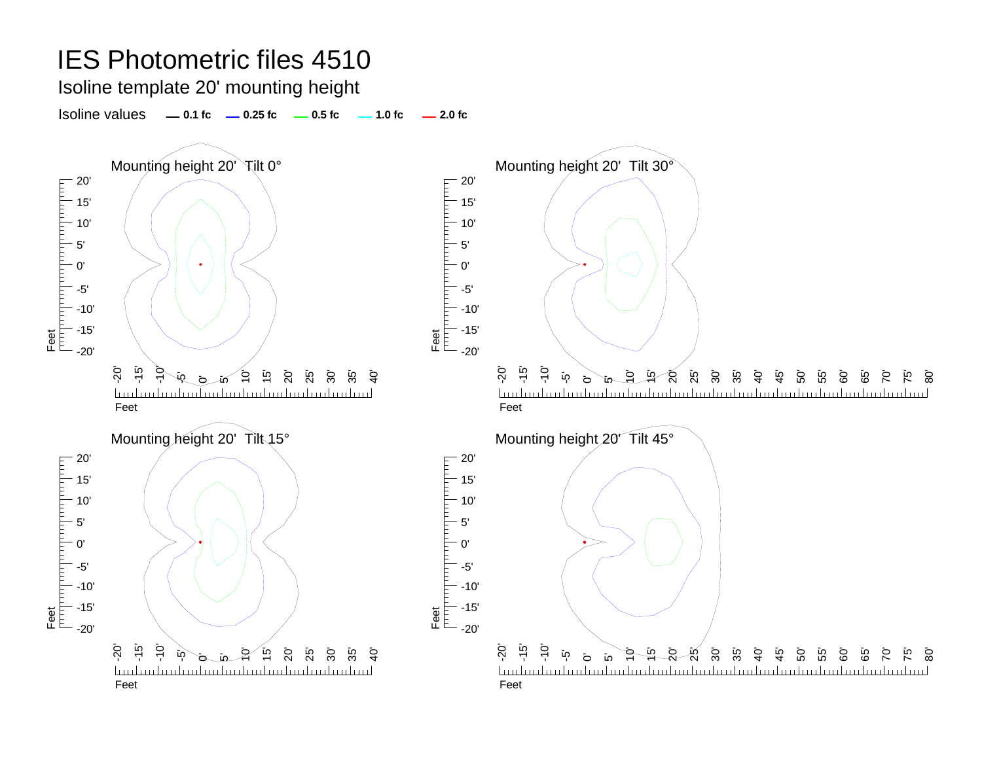### IES Photometric files 4510 Isoline template 20' mounting heightIsoline values**1.0 fc 1.0 fc 1.0 fc 1.0 fc 1.0 fc** Mounting height 20' Tilt 0° and the mounting height 20' Tilt 30° 20' 20' Feet<br>[<sup>trin</sup>][trin][trin][trin][trin][trin] <u>Film and the film</u> 15' 15' 10' 10' **HELL** 5' 5'  $\bullet$ 0' 0' -5'-5' E -10' -10' Feet<br>T<sup>TTT</sup>I<sup>TT</sup> -15' -15' -20'-20'-20' -15' -20' -15' -10' خ<br>-15' 20' \_<br>25 ا<br>0 <u>້</u>ຜ 30' <u>້ເ</u>ດ 55' 10' 30' 35'  $\dot{a}$  $\overline{10}$  $\overline{1}$ C <u>م</u> تو.<br>45 50' 60' 80' ସ 65' 70' 75' -5' 0' ō ัเก ັດ mdan İmdan karlım karlım karlım k لىسا ىلىسا FeetFeetMounting height 20' Tilt 15° Mounting height 20' Tilt 45° 20' 20' FIFT 15' 15' Ė 10' 10' 5' 5' 0'0' Feet<br>|<sup>|||||</sup>||<sup>|||||||</sup>|| -5' -5'  $-10'$ -10' -15' -15' Feet -20' $-20'$ -15' -20' -10' -20' -15' -10'  $\overline{10}$  $\overline{O}$ 35' 10'  $\overline{10}$ 20' تم<br>25 30' 35'  $\frac{5}{4}$ -5' .<br>7 i6<br>N 30' 40'  $\frac{5}{4}$ 50' 55' 60' ت<br>65  $\overline{C}$ 75' 80'  $\overline{\circ}$ .<br>10 ົ**ທ** 0' in. mahaalmahaalmahaalmahaalmahaalmah بتبتا hm FeetFeet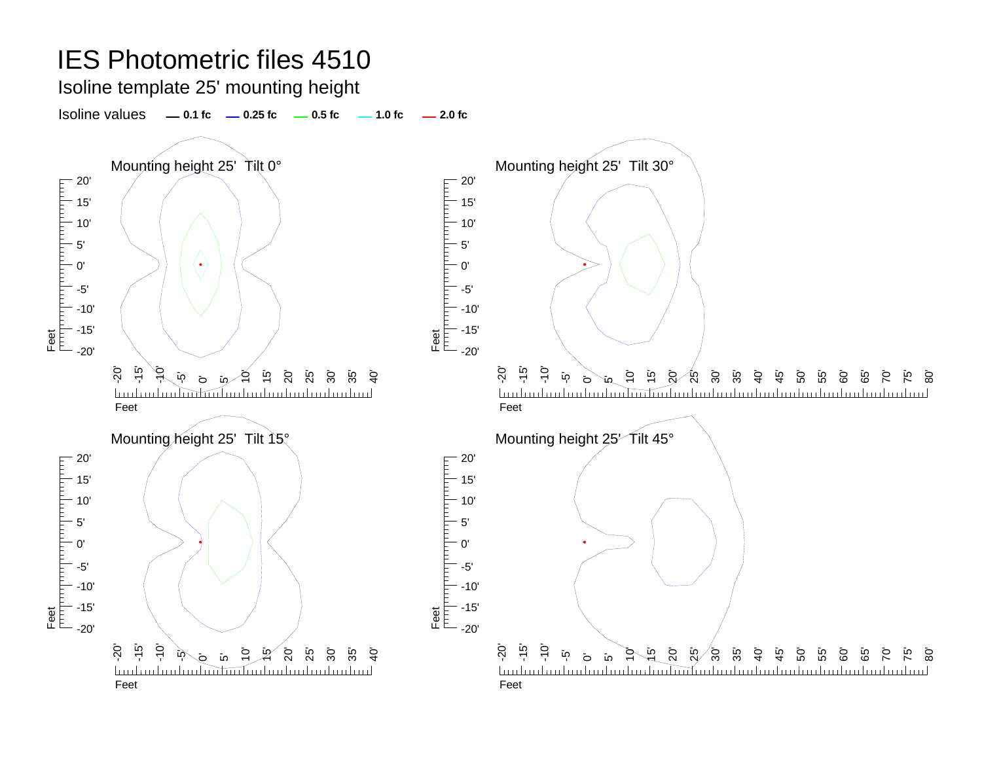## IES Photometric files 4510 Isoline template 25' mounting height Isoline values**1.0 fc 1.0 fc 1.0 fc 1.0 fc 1.0 fc** Mounting height 25' Tilt 0° and the Mounting height 25' Tilt 30° 20' 20' Feet<br>porporporporporporporpor <u>Film and the film</u> 15' 15' 10' 10' **HELL** 5' 5'  $\bullet$ 0' 0' -5'-5' E -10' -10' Feet<br>T<sup>TTT</sup>I<sup>TT</sup> -15' -15'  $-20'$ -20'-20' -15' -20' -15' -10' .<br>م 15' 20' ິ 50 30' 10' 15' ୍ର 30' 58<br>36  $\mathsf{\hat{B}}$ ت<br>55  $\overline{5}$ <u>خ</u> 35'  $\mathcal{G}$  $\overline{10}$ ໃດ<br>ລ تو.<br>45 50' 60' 80' 65' 70' 75' 0' in ō  $\tilde{\mathbf{p}}$ mluuluuluuluuluuluuluuluul mluntmilinilinilinil ىيىيا بليبينا Feet Feet Mounting height 25' Tilt 15° Mounting height 25' Tilt 45° 20' 20' E 15' 15' F 10' 10' 5' 5' 0'0' Feet<br>|<sup>|||||</sup>||<sup>|||||||</sup>||| -5' -5'  $-10'$ -10' -15' -15' Feet -20' $-20'$ -20' -20' -15' -10' ج خ<br>ج ້ເດ 20' 35' تە<br>45 15' 20' 25' 30' 35' <u>م</u>  $\overline{10}$ 10' تم<br>25 30' 40' 50' 55' 60' ت<br>65 75' 80' 10'  $\mathcal{L}$ <u>קז</u>  $\overline{5}$ ō 0' 5' finlm 71 mm hm FeetFeet